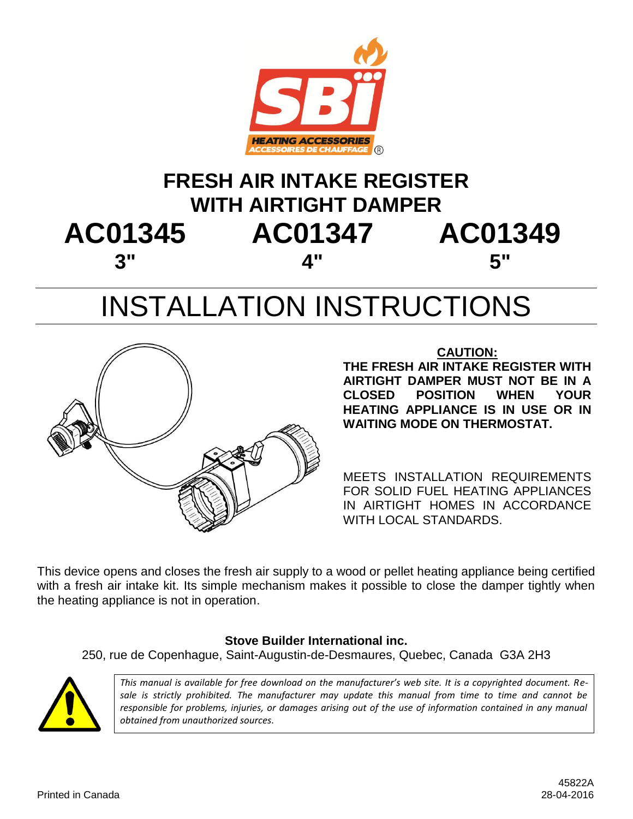

## **FRESH AIR INTAKE REGISTER WITH AIRTIGHT DAMPER AC01345 AC01347 AC01349 3" 4" 5"**

# INSTALLATION INSTRUCTIONS



#### **CAUTION:**

**THE FRESH AIR INTAKE REGISTER WITH AIRTIGHT DAMPER MUST NOT BE IN A CLOSED POSITION WHEN YOUR HEATING APPLIANCE IS IN USE OR IN WAITING MODE ON THERMOSTAT.**

MEETS INSTALLATION REQUIREMENTS FOR SOLID FUEL HEATING APPLIANCES IN AIRTIGHT HOMES IN ACCORDANCE WITH LOCAL STANDARDS.

This device opens and closes the fresh air supply to a wood or pellet heating appliance being certified with a fresh air intake kit. Its simple mechanism makes it possible to close the damper tightly when the heating appliance is not in operation.

#### **Stove Builder International inc.**

250, rue de Copenhague, Saint-Augustin-de-Desmaures, Quebec, Canada G3A 2H3



*This manual is available for free download on the manufacturer's web site. It is a copyrighted document. Resale is strictly prohibited. The manufacturer may update this manual from time to time and cannot be responsible for problems, injuries, or damages arising out of the use of information contained in any manual obtained from unauthorized sources.*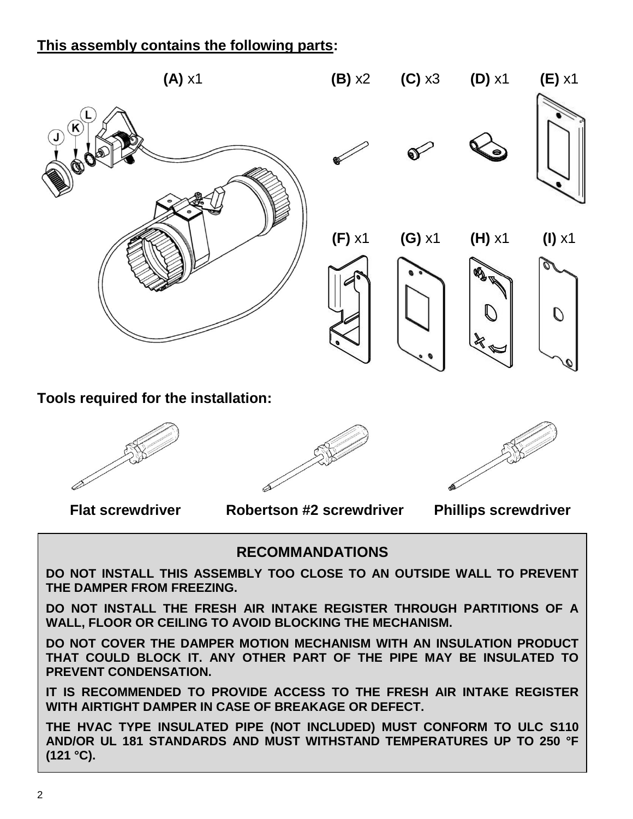#### **This assembly contains the following parts:**



**Tools required for the installation:**



**Flat screwdriver Robertson #2 screwdriver Phillips screwdriver**

#### **RECOMMANDATIONS**

**DO NOT INSTALL THIS ASSEMBLY TOO CLOSE TO AN OUTSIDE WALL TO PREVENT THE DAMPER FROM FREEZING.**

**DO NOT INSTALL THE FRESH AIR INTAKE REGISTER THROUGH PARTITIONS OF A WALL, FLOOR OR CEILING TO AVOID BLOCKING THE MECHANISM.**

**DO NOT COVER THE DAMPER MOTION MECHANISM WITH AN INSULATION PRODUCT THAT COULD BLOCK IT. ANY OTHER PART OF THE PIPE MAY BE INSULATED TO PREVENT CONDENSATION.**

**IT IS RECOMMENDED TO PROVIDE ACCESS TO THE FRESH AIR INTAKE REGISTER WITH AIRTIGHT DAMPER IN CASE OF BREAKAGE OR DEFECT.**

**THE HVAC TYPE INSULATED PIPE (NOT INCLUDED) MUST CONFORM TO ULC S110 AND/OR UL 181 STANDARDS AND MUST WITHSTAND TEMPERATURES UP TO 250 °F (121 °C).**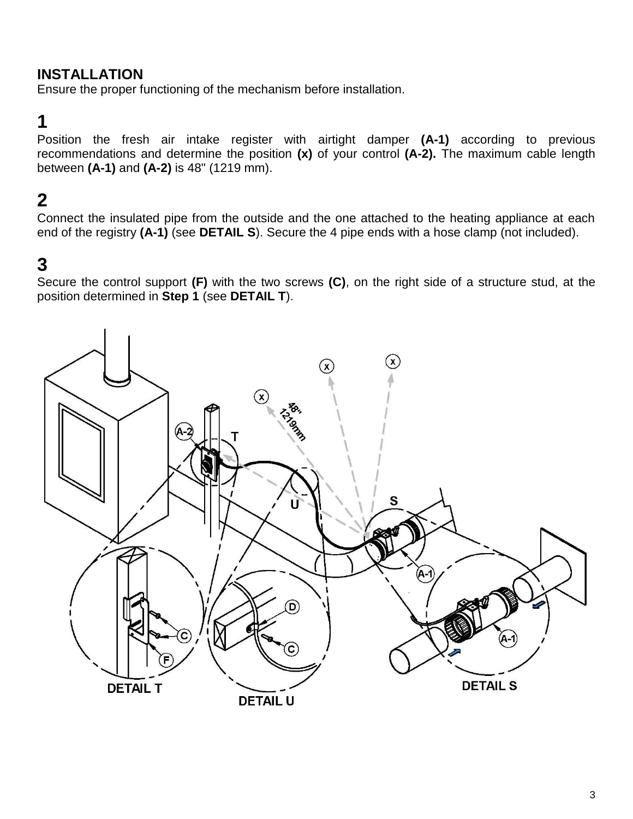#### **INSTALLATION**

Ensure the proper functioning of the mechanism before installation.

## **1**

Position the fresh air intake register with airtight damper **(A-1)** according to previous recommendations and determine the position **(x)** of your control **(A-2).** The maximum cable length between **(A-1)** and **(A-2)** is 48" (1219 mm).

## **2**

Connect the insulated pipe from the outside and the one attached to the heating appliance at each end of the registry **(A-1)** (see **DETAIL S**). Secure the 4 pipe ends with a hose clamp (not included).

## **3**

Secure the control support **(F)** with the two screws **(C)**, on the right side of a structure stud, at the position determined in **Step 1** (see **DETAIL T**).

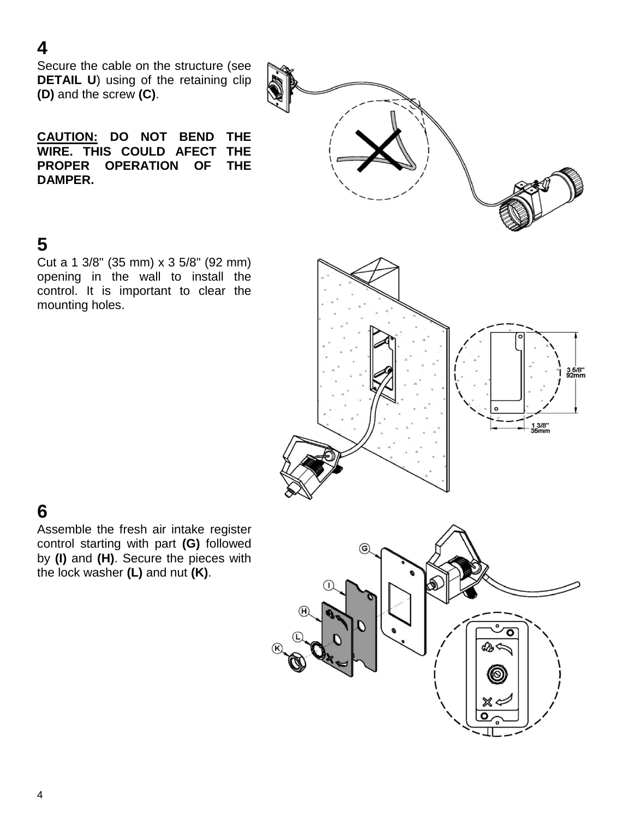### **4**

Secure the cable on the structure (see **DETAIL U**) using of the retaining clip **(D)** and the screw **(C)**.

**CAUTION: DO NOT BEND THE WIRE. THIS COULD AFECT THE PROPER OPERATION OF THE DAMPER.**

## **5**

Cut a 1 3/8" (35 mm) x 3 5/8" (92 mm) opening in the wall to install the control. It is important to clear the mounting holes.



## **6**

Assemble the fresh air intake register control starting with part **(G)** followed by **(I)** and **(H)**. Secure the pieces with the lock washer **(L)** and nut **(K)**.

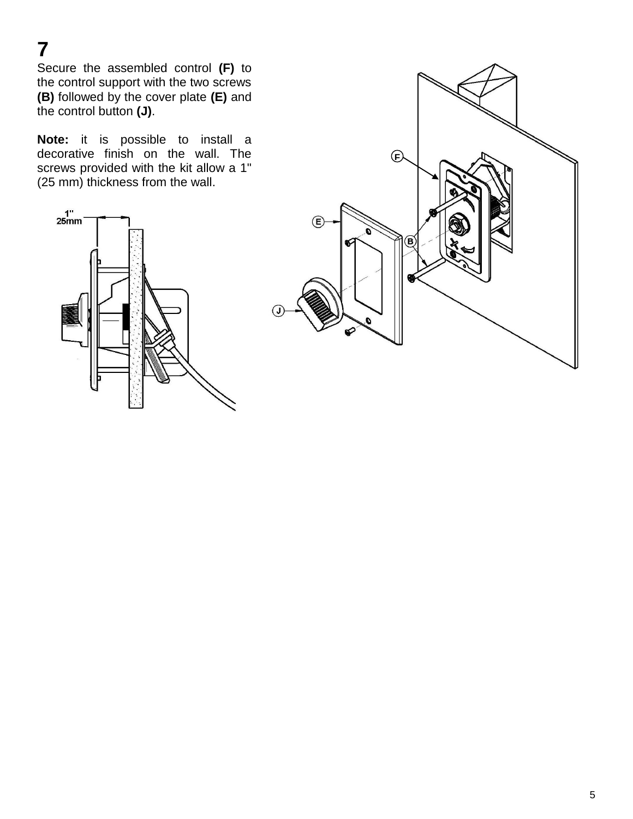**7**

Secure the assembled control **(F)** to the control support with the two screws **(B)** followed by the cover plate **(E)** and the control button **(J)**.

**Note:** it is possible to install a decorative finish on the wall. The screws provided with the kit allow a 1" (25 mm) thickness from the wall.